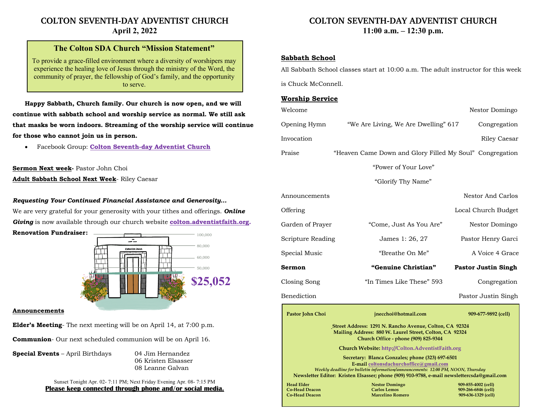# **COLTON SEVENTH-DAY ADVENTIST CHURCH April 2, 2022**

## **The Colton SDA Church "Mission Statement"**

To provide a grace-filled environment where a diversity of worshipers may experience the healing love of Jesus through the ministry of the Word, the community of prayer, the fellowship of God's family, and the opportunity to serve.

**Happy Sabbath, Church family. Our church is now open, and we will continue with sabbath school and worship service as normal. We still ask that masks be worn indoors. Streaming of the worship service will continue for those who cannot join us in person.**

• Facebook Group: **Colton Seventh-day Adventist Church**

#### **Sermon Next week-** Pastor John Choi

**Adult Sabbath School Next Week**- Riley Caesar

#### *Requesting Your Continued Financial Assistance and Generosity…*

We are very grateful for your generosity with your tithes and offerings. *Online Giving* is now available through our church website **colton.adventistfaith.org.**

**Renovation Fundraiser:**



#### **Announcements**

**Elder's Meeting**- The next meeting will be on April 14, at 7:00 p.m.

**Communion**- Our next scheduled communion will be on April 16.

**Special Events** – April Birthdays 04 Jim Hernandez

06 Kristen Elsasser 08 Leanne Galvan

Sunset Tonight Apr. 02- 7:11 PM; Next Friday Evening Apr. 08- 7:15 PM **Please keep connected through phone and/or social media.**

# **COLTON SEVENTH-DAY ADVENTIST CHURCH 11:00 a.m. – 12:30 p.m.**

### **Sabbath School**

All Sabbath School classes start at 10:00 a.m. The adult instructor for this week

is Chuck McConnell.

#### **Worship Service**

|                    | Welcome                                                                                                                                                                        |                                                                         | Nestor Domingo                                                    |  |
|--------------------|--------------------------------------------------------------------------------------------------------------------------------------------------------------------------------|-------------------------------------------------------------------------|-------------------------------------------------------------------|--|
|                    | Opening Hymn                                                                                                                                                                   | "We Are Living, We Are Dwelling" 617                                    | Congregation                                                      |  |
|                    | Invocation                                                                                                                                                                     |                                                                         | Riley Caesar                                                      |  |
|                    | Praise                                                                                                                                                                         | "Heaven Came Down and Glory Filled My Soul" Congregation                |                                                                   |  |
|                    | "Power of Your Love"                                                                                                                                                           |                                                                         |                                                                   |  |
| "Glorify Thy Name" |                                                                                                                                                                                |                                                                         |                                                                   |  |
|                    | Announcements                                                                                                                                                                  |                                                                         | Nestor And Carlos                                                 |  |
|                    | Offering                                                                                                                                                                       |                                                                         | Local Church Budget                                               |  |
|                    | Garden of Prayer                                                                                                                                                               | "Come, Just As You Are"                                                 | Nestor Domingo                                                    |  |
|                    | Scripture Reading                                                                                                                                                              | James 1: 26, 27                                                         | Pastor Henry Garci                                                |  |
|                    | Special Music                                                                                                                                                                  | "Breathe On Me"                                                         | A Voice 4 Grace                                                   |  |
|                    | Sermon                                                                                                                                                                         | "Genuine Christian"                                                     | <b>Pastor Justin Singh</b>                                        |  |
|                    | Closing Song                                                                                                                                                                   | "In Times Like These" 593                                               | Congregation                                                      |  |
| Benediction        |                                                                                                                                                                                |                                                                         | Pastor Justin Singh                                               |  |
|                    | Pastor John Choi                                                                                                                                                               | jnecchoi@hotmail.com                                                    | 909-677-9892 (cell)                                               |  |
|                    | <b>Street Address: 1291 N. Rancho Avenue, Colton, CA 92324</b><br>Mailing Address: 880 W. Laurel Street, Colton, CA 92324<br>Church Office - phone (909) 825-9344              |                                                                         |                                                                   |  |
|                    | Church Website: http://Colton.AdventistFaith.org                                                                                                                               |                                                                         |                                                                   |  |
|                    | Secretary: Blanca Gonzales; phone (323) 697-6501<br>E-mail coltonsdachurchoffice@gmail.com                                                                                     |                                                                         |                                                                   |  |
|                    | Weekly deadline for bulletin information/announcements: 12:00 PM, NOON, Thursday<br>Newsletter Editor: Kristen Elsasser; phone (909) 910-9788, e-mail newslettercsda@gmail.com |                                                                         |                                                                   |  |
|                    | <b>Head Elder</b><br><b>Co-Head Deacon</b><br><b>Co-Head Deacon</b>                                                                                                            | <b>Nestor Domingo</b><br><b>Carlos Lemos</b><br><b>Marcelino Romero</b> | 909-855-4002 (cell)<br>909-266-6846 (cell)<br>909-636-1329 (cell) |  |